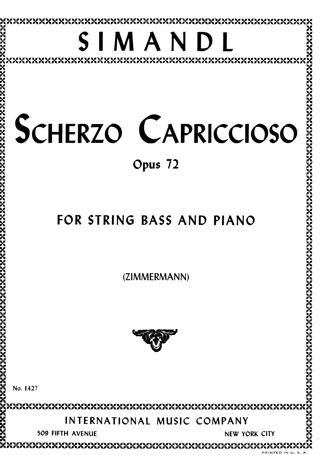## SIMANDL

# SCHERZO CAPRICCIOSO

Opus 72

## FOR STRING BASS AND PIANO

(ZIMMERMANN)



XXXX<br>XXX

#### INTERNATIONAL MUSIC COMPANY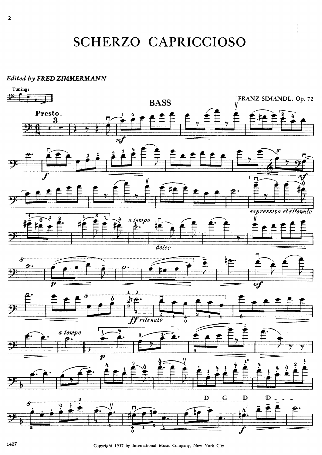SCHERZO CAPRICCIOSO

#### Edited by FRED ZIMMERMANN



1427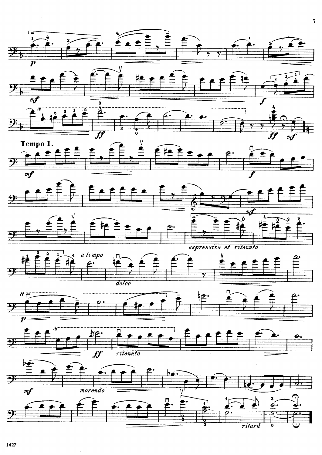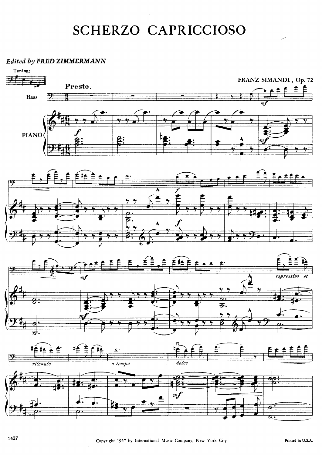### SCHERZO CAPRICCIOSO

#### Edited by FRED ZIMMERMANN

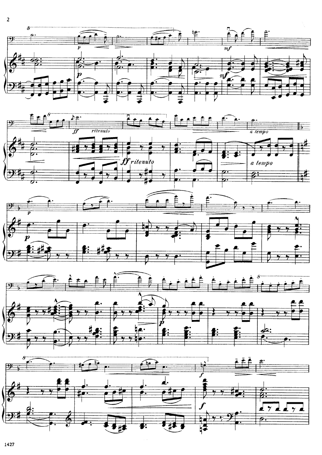







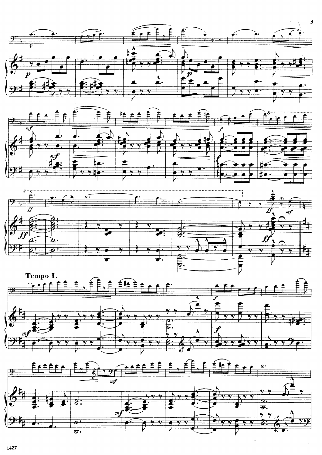